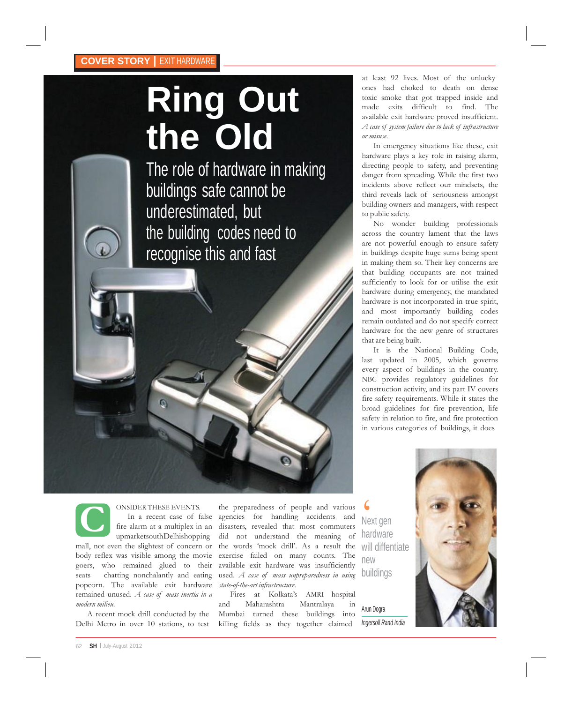#### **COVER STORY |** EXIT HARDWARE

# **Ring Out the Old**

The role of hardware in making buildings safe cannot be underestimated, but the building codes need to recognise this and fast

at least 92 lives. Most of the unlucky ones had choked to death on dense toxic smoke that got trapped inside and made exits difficult to find. The available exit hardware proved insufficient. *A case of system failure due to lack of infrastructure or misuse*.

In emergency situations like these, exit hardware plays a key role in raising alarm, directing people to safety, and preventing danger from spreading. While the first two incidents above reflect our mindsets, the third reveals lack of seriousness amongst building owners and managers, with respect to public safety.

No wonder building professionals across the country lament that the laws are not powerful enough to ensure safety in buildings despite huge sums being spent in making them so. Their key concerns are that building occupants are not trained sufficiently to look for or utilise the exit hardware during emergency, the mandated hardware is not incorporated in true spirit, and most importantly building codes remain outdated and do not specify correct hardware for the new genre of structures that are being built.

It is the National Building Code, last updated in 2005, which governs every aspect of buildings in the country. NBC provides regulatory guidelines for construction activity, and its part IV covers fire safety requirements. While it states the broad guidelines for fire prevention, life safety in relation to fire, and fire protection in various categories of buildings, it does



ONSIDER THESE EVENTS. In a recent case of false

fire alarm at a multiplex in an upmarketsouthDelhishopping mall, not even the slightest of concern or body reflex was visible among the movie goers, who remained glued to their seats chatting nonchalantly and eating popcorn. The available exit hardware remained unused. *A case of mass inertia in a modern milieu*.

A recent mock drill conducted by the Delhi Metro in over 10 stations, to test

ONSIDER THESE EVENTS. the preparedness of people and various In a recent case of false agencies for handling accidents and Next g(fire alarm at a multiplex in an disasters, revealed that most commuters upmarketsouthDelhish the preparedness of people and various agencies for handling accidents and disasters, revealed that most commuters did not understand the meaning of the words "mock drill". As a result the exercise failed on many counts. The available exit hardware was insufficiently used. *A case of mass unpreparedness in using state-of-the-art infrastructure*.

Fires at Kolkata's AMRI hospital and Maharashtra Mantralaya in Mumbai turned these buildings into killing fields as they together claimed

Next gen hardware will diffentiate new buildings

Arun Dogra *Ingersoll Rand India*

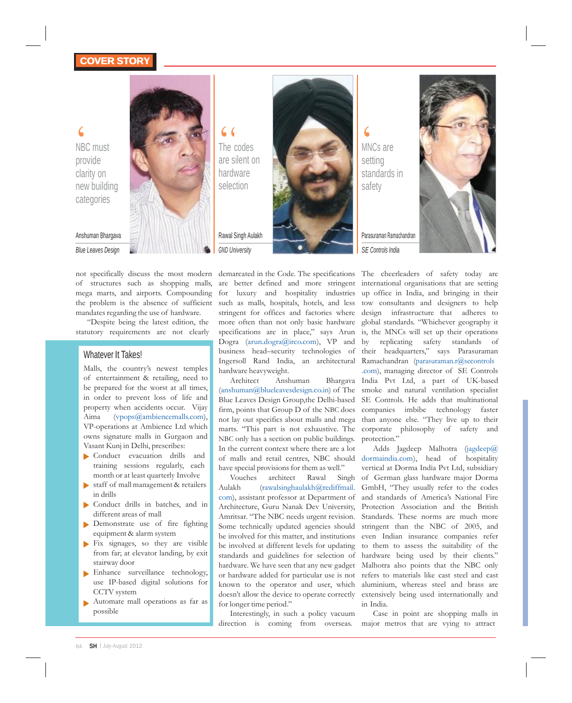### **COVER STORY COVER STORY**

 $\bigotimes$ <br>  $\bigotimes$ NBC C m must provide clarity on new building categories



Anshuman Bhargava *Blue Leaves Design*

not specifically discuss the most modern of structures such as shopping malls, mega marts, and airports. Compounding the problem is the absence of sufficient mandates regarding the use of hardware.

"Despite being the latest edition, the statutory requirements are not clearly

#### Whatever It Takes!

Malls, the country's newest temples of entertainment & retailing, need to be prepared for the worst at all times, in order to prevent loss of life and property when accidents occur. Vijay Aima (vpops@ambiencemalls.com), VP-operations at Ambience Ltd which owns signature malls in Gurgaon and Vasant Kunj in Delhi, prescribes:

- Conduct evacuation drills and training sessions regularly, each month or at least quarterly Involve
- staff of mall management & retailers in drills
- Conduct drills in batches, and in  $\blacktriangleright$ different areas of mall
- Demonstrate use of fire fighting equipment & alarm system
- Fix signages, so they are visible from far; at elevator landing, by exit stairway door
- Enhance surveillance technology, use IP-based digital solutions for CCTV system
- Automate mall operations as far as possible



standards in safety

MNCs are setting

Parasuraman Ramachandran *SE Controls India*



are better defined and more stringent international organisations that are setting for luxury and hospitality industries up office in India, and bringing in their such as malls, hospitals, hotels, and less tow consultants and designers to help stringent for offices and factories where more often than not only basic hardware specifications are in place," says Arun Dogra (arun.dogra@irco.com), VP and business head–security technologies of Ingersoll Rand India, an architectural hardware heavyweight.

Architect Anshuman (anshuman@blueleavesdesign.co.in) of The Blue Leaves Design Group,the Delhi-based NBC only has a section on public buildings. In the current context where there are a lot of malls and retail centres, NBC should have special provisions for them as well."

Vouches architect Rawal Singh Aulakh (rawalsinghaulakh@rediffmail. com), assistant professor at Department of Architecture, Guru Nanak Dev University, Some technically updated agencies should for longer time period."

Interestingly, in such a policy vacuum direction is coming from overseas.

demarcated in the Code. The specifications The cheerleaders of safety today are firm, points that Group D of the NBC does companies imbibe technology faster not lay out specifics about malls and mega than anyone else. "They live up to their marts. "This part is not exhaustive. The corporate philosophy of safety and design infrastructure that adheres to global standards. "Whichever geography it is, the MNCs will set up their operations by replicating safety standards of their headquarters," says Parasuraman Ramachandran (parasuraman.r@secontrols .com), managing director of SE Controls India Pvt Ltd, a part of UK-based smoke and natural ventilation specialist SE Controls. He adds that multinational protection."

Amritsar. "The NBC needs urgent revision. Standards. These norms are much more be involved for this matter, and institutions even Indian insurance companies refer be involved at different levels for updating to them to assess the suitability of the standards and guidelines for selection of hardware being used by their clients." hardware. We have seen that any new gadget Malhotra also points that the NBC only or hardware added for particular use is not refers to materials like cast steel and cast known to the operator and user, which aluminium, whereas steel and brass are doesn't allow the device to operate correctly extensively being used internationally and Adds Jagdeep Malhotra (jagdeep@ dormaindia.com), head of hospitality vertical at Dorma India Pvt Ltd, subsidiary of German glass hardware major Dorma GmbH, "They usually refer to the codes and standards of America's National Fire Protection Association and the British stringent than the NBC of 2005, and in India.

> Case in point are shopping malls in major metros that are vying to attract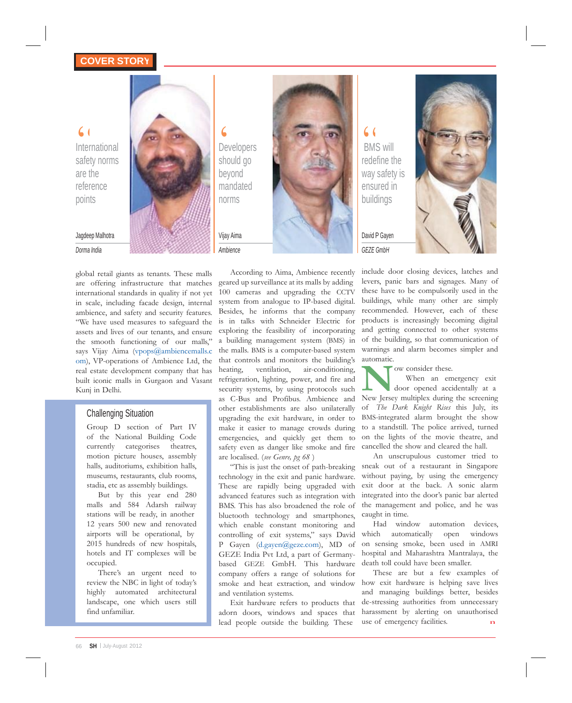International safety norms are the reference points

#### Jagdeep Malhotra

*Dorma India*

global retail giants as tenants. These malls are offering infrastructure that matches international standards in quality if not yet in scale, including facade design, internal ambience, and safety and security features. "We have used measures to safeguard the assets and lives of our tenants, and ensure the smooth functioning of our malls," says Vijay Aima [\(vpops@ambiencemalls.c](mailto:(vpops@ambiencemalls.c) om), VP-operations of Ambience Ltd, the real estate development company that has built iconic malls in Gurgaon and Vasant Kunj in Delhi.

#### Challenging Situation

Group D section of Part IV of the National Building Code currently categorises theatres, motion picture houses, assembly halls, auditoriums, exhibition halls, museums, restaurants, club rooms, stadia, etc as assembly buildings.

But by this year end 280 malls and 584 Adarsh railway stations will be ready, in another 12 years 500 new and renovated airports will be operational, by 2015 hundreds of new hospitals, hotels and IT complexes will be occupied.

There's an urgent need to review the NBC in light of today"s highly automated architectural landscape, one which users still find unfamiliar.

Developers should go beyond mandated norms

Vijay Aima *Ambience*



According to Aima, Ambience recently geared up surveillance at its malls by adding 100 cameras and upgrading the CCTV system from analogue to IP-based digital. Besides, he informs that the company is in talks with Schneider Electric for exploring the feasibility of incorporating a building management system (BMS) in the malls. BMS is a computer-based system that controls and monitors the building"s heating, ventilation, air-conditioning, refrigeration, lighting, power, and fire and security systems, by using protocols such as C-Bus and Profibus. Ambience and other establishments are also unilaterally upgrading the exit hardware, in order to make it easier to manage crowds during emergencies, and quickly get them to

are localised. (*see Genre, pg 68* )

and ventilation systems.

"This is just the onset of path-breaking technology in the exit and panic hardware. These are rapidly being upgraded with advanced features such as integration with BMS. This has also broadened the role of bluetooth technology and smartphones, which enable constant monitoring and controlling of exit systems," says David P Gayen (d.gayen@geze.com), MD of GEZE India Pvt Ltd, a part of Germanybased GEZE GmbH. This hardware company offers a range of solutions for

adorn doors, windows and spaces that lead people outside the building. These

BMS will redefine the way safety is ensured in buildings

> David P Gayen *GEZE GmbH*



include door closing devices, latches and levers, panic bars and signages. Many of these have to be compulsorily used in the buildings, while many other are simply recommended. However, each of these products is increasingly becoming digital and getting connected to other systems of the building, so that communication of warnings and alarm becomes simpler and automatic.

ow consider these.

When an emergency exit<br>
New Jersey multiplex during the screening<br>
New Jersey multiplex during the screening safety even as danger like smoke and fire cancelled the show and cleared the hall. When an emergency exit door opened accidentally at a of *The Dark Knight Rises* this July, its BMS-integrated alarm brought the show to a standstill. The police arrived, turned on the lights of the movie theatre, and

An unscrupulous customer tried to sneak out of a restaurant in Singapore without paying, by using the emergency exit door at the back. A sonic alarm integrated into the door's panic bar alerted the management and police, and he was caught in time.

Had window automation devices, which automatically open windows on sensing smoke, been used in AMRI hospital and Maharashtra Mantralaya, the death toll could have been smaller.

smoke and heat extraction, and window how exit hardware is helping save lives Exit hardware refers to products that de-stressing authorities from unnecessary These are but a few examples of and managing buildings better, besides harassment by alerting on unauthorised use of emergency facilities.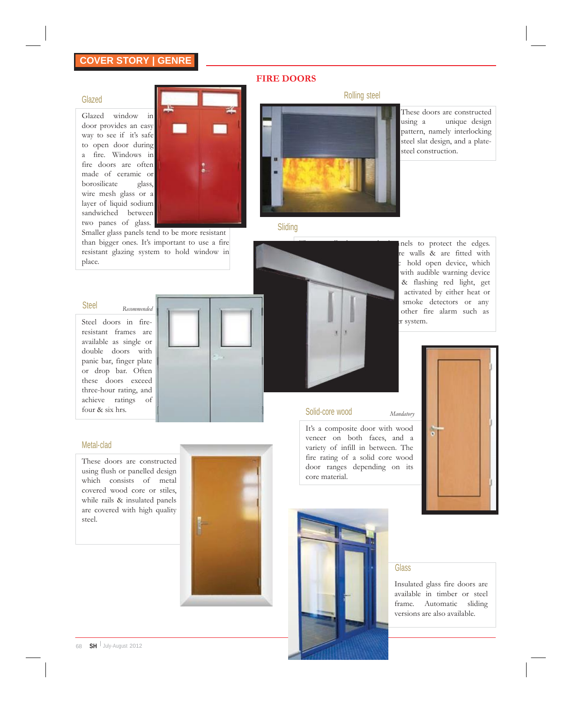### **COVER STORY | GENRE**

#### **FIRE DOORS**

#### Glazed

Glazed window in door provides an easy way to see if it's safe to open door during a fire. Windows in fire doors are often made of ceramic or borosilicate glass, wire mesh glass or a layer of liquid sodium sandwiched between two panes of glass.



Extra panels of glass. The more resistant Sliding Smaller glass panels tend to be more resistant Sliding than bigger ones. It's important to use a fire resistant glazing system to hold window in place.

### Steel *Recommended*

Steel doors in fireresistant frames are available as single or double doors with panic bar, finger plate or drop bar. Often these doors exceed three-hour rating, and achieve ratings of



#### Metal-clad

These doors are constructed using flush or panelled design which consists of metal covered wood core or stiles, while rails & insulated panels are covered with high quality steel.





Rolling steel

These doors are constructed using a unique design pattern, namely interlocking steel slat design, and a platesteel construction.



It's a composite door with wood veneer on both faces, and a variety of infill in between. The fire rating of a solid core wood door ranges depending on its core material.



#### **Glass**

*Mandatory*

Insulated glass fire doors are available in timber or steel frame. Automatic sliding versions are also available.

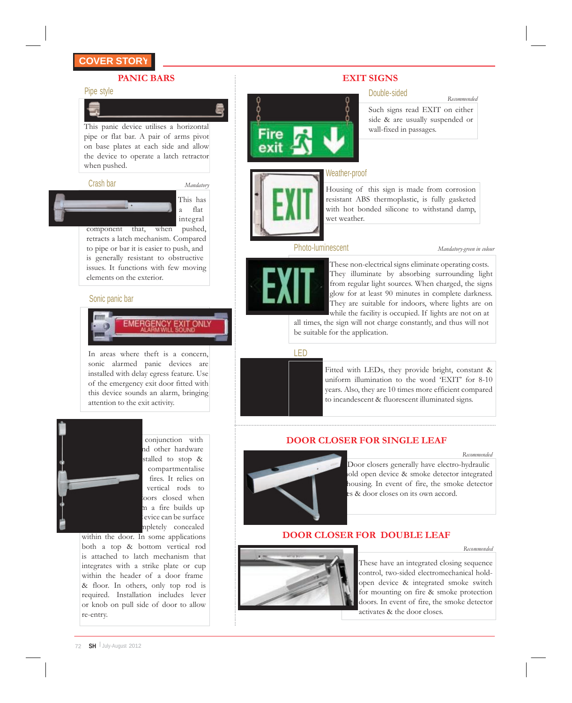#### **PANIC BARS EXIT SIGNS**

#### Pipe style

E.

This panic device utilises a horizontal pipe or flat bar. A pair of arms pivot on base plates at each side and allow the device to operate a latch retractor when pushed.



component that, when pushed, retracts a latch mechanism. Compared to pipe or bar it is easier to push, and is generally resistant to obstructive issues. It functions with few moving elements on the exterior.

#### Sonic panic bar



In areas where theft is a concern, sonic alarmed panic devices are installed with delay egress feature. Use of the emergency exit door fitted with this device sounds an alarm, bringing attention to the exit activity.



conjunction with nd other hardware stalled to stop & compartmentalise fires. It relies on vertical rods to oors closed when m a fire builds up evice can be surface mpletely concealed

within the door. In some applications both a top & bottom vertical rod is attached to latch mechanism that integrates with a strike plate or cup within the header of a door frame & floor. In others, only top rod is required. Installation includes lever or knob on pull side of door to allow re-entry.

#### Double-sided

Such signs read EXIT on either side & are usually suspended or wall-fixed in passages.

*Recommended*

#### Weather-proof

Housing of this sign is made from corrosion resistant ABS thermoplastic, is fully gasketed with hot bonded silicone to withstand damp, wet weather.

#### Photo-luminescent *Mandatory-green in colour*



These non-electrical signs eliminate operating costs. They illuminate by absorbing surrounding light from regular light sources. When charged, the signs glow for at least 90 minutes in complete darkness. They are suitable for indoors, where lights are on while the facility is occupied. If lights are not on at

all times, the sign will not charge constantly, and thus will not be suitable for the application.

#### LED



..........................................................................................................................................................................................................................................................................................................................................................

Fitted with LEDs, they provide bright, constant & uniform illumination to the word "EXIT" for 8-10 years. Also, they are 10 times more efficient compared to incandescent & fluorescent illuminated signs.

#### **DOOR CLOSER FOR SINGLE LEAF**



**housing.** In event of fire, the smoke detector es & door closes on its own accord. Door closers generally have electro-hydraulic hold open device & smoke detector integrated

#### **DOOR CLOSER FOR DOUBLE LEAF**

#### *Recommended*

*Recommended*



These have an integrated closing sequence control, two-sided electromechanical holdopen device & integrated smoke switch for mounting on fire & smoke protection doors. In event of fire, the smoke detector activates & the door closes.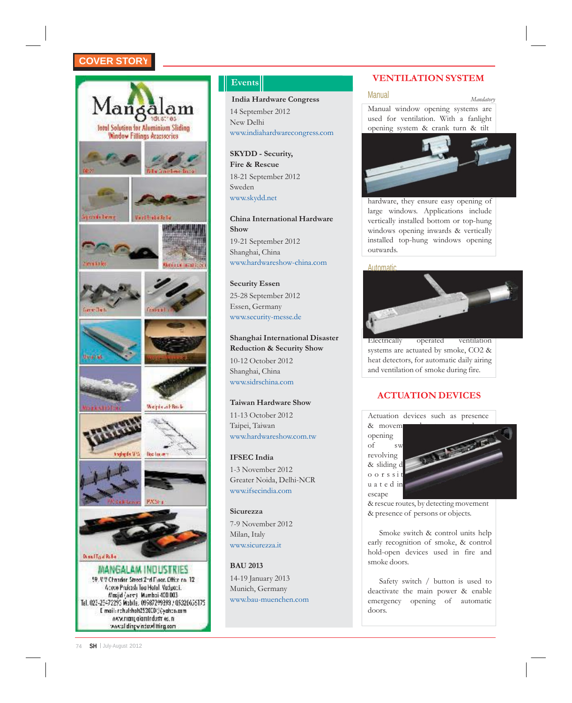

**India Hardware Congress** Manual *Manual Manual Mandatory* 14 September 2012 New Delhi [www.indiahardwarecongress.com](http://www.indiahardwarecongress.com/)

**SKYDD - Security, Fire & Rescue** 18-21 September 2012 Sweden [www.skydd.net](http://www.skydd.net/)

**China International Hardware Show** 19-21 September 2012 Shanghai, China [www.hardwareshow-china.com](http://www.hardwareshow-china.com/)

#### **Security Essen**

25-28 September 2012 Essen, Germany [www.security-messe.de](http://www.security-messe.de/)

### **Shanghai International Disaster**

**Reduction & Security Show** 10-12 October 2012 Shanghai, China [www.sidrschina.com](http://www.sidrschina.com/)

#### **Taiwan Hardware Show**

11-13 October 2012 Taipei, Taiwan [www.hardwareshow.com.tw](http://www.hardwareshow.com.tw/)

#### **IFSEC India**

1-3 November 2012 Greater Noida, Delhi-NCR [www.ifsecindia.com](http://www.ifsecindia.com/)

**Sicurezza**

7-9 November 2012 Milan, Italy [www.sicurezza.it](http://www.sicurezza.it/)

#### **BAU 2013**

14-19 January 2013 Munich, Germany [www.bau-muenchen.com](http://www.bau-muenchen.com/)

### **Events** *VENTILATION* **SYSTEM**

Manual window opening systems are used for ventilation. With a fanlight opening system & crank turn & tilt



hardware, they ensure easy opening of large windows. Applications include vertically installed bottom or top-hung windows opening inwards & vertically installed top-hung windows opening outwards.

#### Automatic



Electrically operated ventilation systems are actuated by smoke, CO2 & heat detectors, for automatic daily airing and ventilation of smoke during fire.

#### **ACTUATION DEVICES**



& rescue routes, by detecting movement & presence of persons or objects.

Smoke switch & control units help early recognition of smoke, & control hold-open devices used in fire and smoke doors.

Safety switch / button is used to deactivate the main power & enable emergency opening of automatic doors.

74 **SH** July-August 2012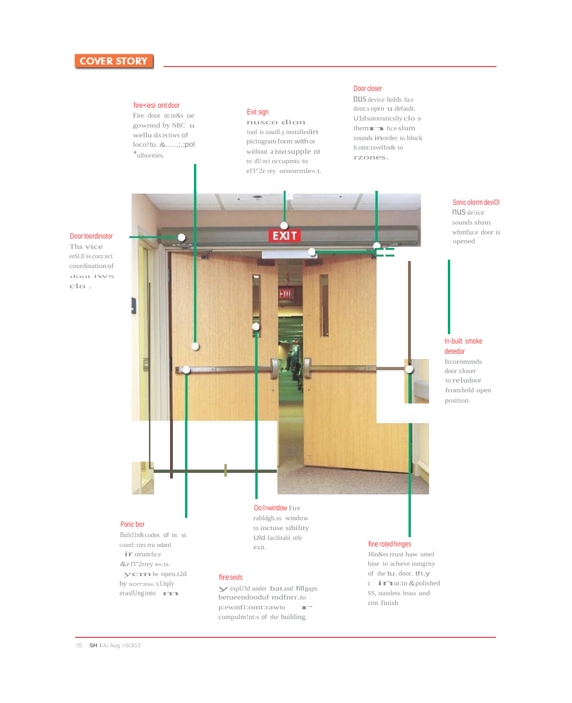#### fire<esi ont door

Fire door nt:in&s ue gowrmd by NBC u wellu dis:ectiws of loco!tu.&.....,;,;pol \*ulhorities.

#### Exit sign

nusco dion tool is usuill.y instslledin pictogramform withor without a blxtsupple nt to dU:ect occupmts to el'l"2r rey ornorrmle».t.

#### Door closer

nus device holds fia:e dooz:s open u default,<br>
U1dsutorruticslly clo<br>
themnfu:e slum U1dsutorruticslly clo s sounds inorder to block h:omt:ravellin& to rzones.

#### Door toordinotor

Ths vice enSI.ll.'es corz:ect coordination of doot lWS clo .



Sonic olorm deviOl nus de*\ice*  sounds slum

whmfia:e door is opened

#### In-built smoke detedor

Itcornmmds door closer to reludoor fromhold open position.

#### Ponic bor

Builcl1n& codes of tn: st counl::ries rru ndattl ir orunfu:e &*e* l'l"2rrey e».ts. ycmbe opeu.t2d by sorrezom s:Unply eraslUng into management

fire seols<br>
yexpU'ld under bat and fillgaps<br>
berueendooduf mdfnrr.to<br>
p:ewntfi:omt:rawto<br>
compulmlatus of the building berueendooduf mdfnrr.to compulm!nt:s of the building.

base to achieve inmgrity of the **tu**. door. **th**, **y** c **in** ut:in & polished SS, stainless brass and zim finish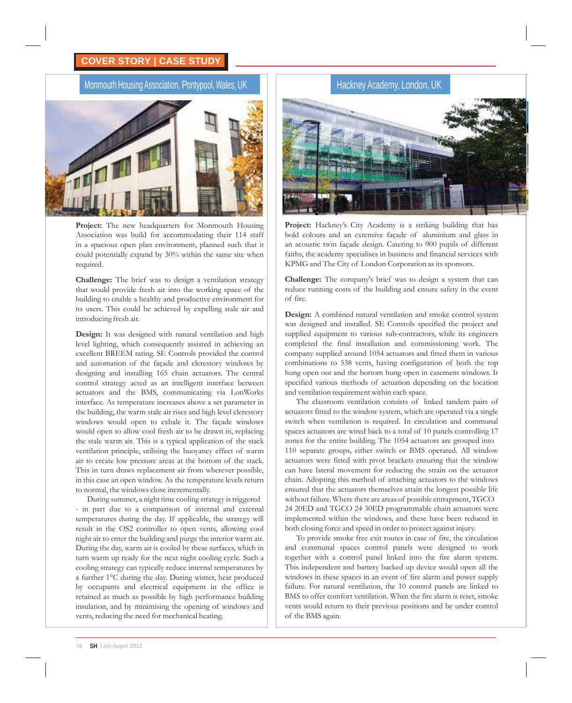#### **COVER STORY | CASE STUDY**

#### Monmouth Housing Association, Pontypool, Wales, UK



**Project:** The new headquarters for Monmouth Housing Association was build for accommodating their 114 staff in a spacious open plan environment, planned such that it could potentially expand by 30% within the same site when required.

**Challenge:** The brief was to design a ventilation strategy that would provide fresh air into the working space of the building to enable a healthy and productive environment for its users. This could be achieved by expelling stale air and introducing fresh air.

**Design:** It was designed with natural ventilation and high level lighting, which consequently assisted in achieving an excellent BREEM rating. SE Controls provided the control and automation of the façade and clerestory windows by designing and installing 165 chain actuators. The central control strategy acted as an intelligent interface between actuators and the BMS, communicating via LonWorks interface. As temperature increases above a set parameter in the building, the warm stale air rises and high level clerestory windows would open to exhale it. The façade windows would open to allow cool fresh air to be drawn in, replacing the stale warm air. This is a typical application of the stack ventilation principle, utilising the buoyancy effect of warm air to create low pressure areas at the bottom of the stack. This in turn draws replacement air from wherever possible, in this case an open window. As the temperature levels return to normal, the windows close incrementally.

During summer, a night time cooling strategy istriggered - in part due to a comparison of internal and external temperatures during the day. If applicable, the strategy will result in the OS2 controller to open vents, allowing cool night air to enter the building and purge the interior warm air. During the day, warm air is cooled by these surfaces, which in turn warm up ready for the next night cooling cycle. Such a cooling strategy can typically reduce internal temperatures by a further 1°C during the day. During winter, heat produced by occupants and electrical equipment in the office is retained as much as possible by high performance building insulation, and by minimising the opening of windows and vents, reducing the need for mechanical heating.



Project: Hackney's City Academy is a striking building that has bold colours and an extensive façade of aluminium and glass in an acoustic twin façade design. Catering to 900 pupils of different faiths, the academy specialises in business and financial services with KPMG and The City of London Corporation as its sponsors.

**Challenge:** The company's brief was to design a system that can reduce running costs of the building and ensure safety in the event of fire.

**Design:** A combined natural ventilation and smoke control system was designed and installed. SE Controls specified the project and supplied equipment to various sub-contractors, while its engineers completed the final installation and commissioning work. The company supplied around 1054 actuators and fitted them in various combinations to 538 vents, having configuration of both the top hung open out and the bottom hung open in casement windows. It specified various methods of actuation depending on the location and ventilation requirement within each space.

The classroom ventilation consists of linked tandem pairs of actuators fitted to the window system, which are operated via a single switch when ventilation is required. In circulation and communal spaces actuators are wired back to a total of 10 panels controlling 17 zones for the entire building. The 1054 actuators are grouped into 110 separate groups, either switch or BMS operated. All window actuators were fitted with pivot brackets ensuring that the window can have lateral movement for reducing the strain on the actuator chain. Adopting this method of attaching actuators to the windows ensured that the actuators themselves attain the longest possible life without failure. Where there are areas of possible entrapment, TGCO 24 20ED and TGCO 24 30ED programmable chain actuators were implemented within the windows, and these have been reduced in both closing force and speed in order to protect against injury.

To provide smoke free exit routes in case of fire, the circulation and communal spaces control panels were designed to work together with a control panel linked into the fire alarm system. This independent and battery backed up device would open all the windows in these spaces in an event of fire alarm and power supply failure. For natural ventilation, the 10 control panels are linked to BMS to offer comfort ventilation. When the fire alarm is reset, smoke vents would return to their previous positions and be under control of the BMS again.